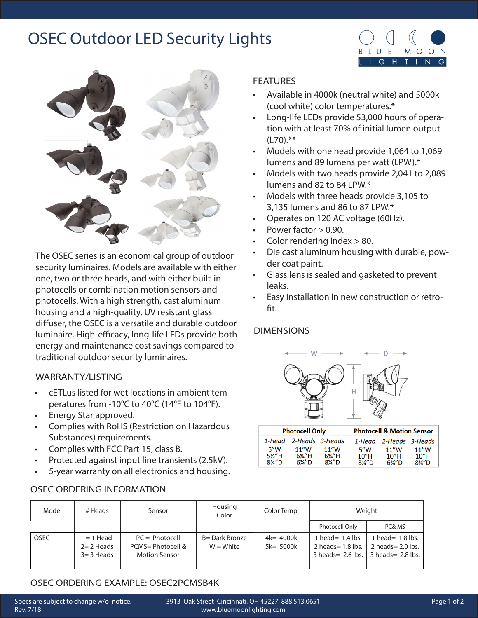## OSEC Outdoor LED Security Lights



The OSEC series is an economical group of outdoor security luminaires. Models are available with either one, two or three heads, and with either built-in photocells or combination motion sensors and photocells. With a high strength, cast aluminum housing and a high-quality, UV resistant glass diffuser, the OSEC is a versatile and durable outdoor luminaire. High-efficacy, long-life LEDs provide both energy and maintenance cost savings compared to traditional outdoor security luminaires.

#### WARRANTY/LISTING

- cETLus listed for wet locations in ambient temperatures from -10°C to 40°C (14°F to 104°F).
- Energy Star approved.
- Complies with RoHS (Restriction on Hazardous Substances) requirements.
- Complies with FCC Part 15, class B.
- Protected against input line transients (2.5kV).
- 5-year warranty on all electronics and housing.

### OSEC ORDERING INFORMATION

#### **FEATURES**

• Available in 4000k (neutral white) and 5000k (cool white) color temperatures.\*

MOON

 $N$  $\overline{G}$ 

G H

- Long-life LEDs provide 53,000 hours of operation with at least 70% of initial lumen output  $(L70).***$
- Models with one head provide 1,064 to 1,069 lumens and 89 lumens per watt (LPW).\*
- Models with two heads provide 2,041 to 2,089 lumens and 82 to 84 LPW.\*
- Models with three heads provide 3,105 to 3,135 lumens and 86 to 87 LPW.\*
- Operates on 120 AC voltage (60Hz).
- Power factor  $> 0.90$ .
- Color rendering index > 80.
- Die cast aluminum housing with durable, powder coat paint.
- Glass lens is sealed and gasketed to prevent leaks.
- Easy installation in new construction or retrofit.

### DIMENSIONS



|                                  | <b>Photocell Only</b>                  |                                                 | <b>Photocell &amp; Motion Sensor</b>          |                                       |                                                |  |  |
|----------------------------------|----------------------------------------|-------------------------------------------------|-----------------------------------------------|---------------------------------------|------------------------------------------------|--|--|
| 1-Head                           | 2-Heads 3-Heads                        |                                                 |                                               | 1-Head 2-Heads 3-Heads                |                                                |  |  |
| 5"W<br>5%"H<br>$8\frac{\%}{2}$ D | 11''W<br>$6\frac{3}{4}$ "H<br>$6\%''D$ | 11''W<br>$6\frac{3}{4}$ "H<br>$8\frac{\%}{2}$ D | 5''W<br>$10"$ H<br>$8\frac{\cancel{10}}{4}$ D | 11''W<br>$10"$ H<br>$6\frac{3}{4}$ "D | 11''W<br>$10"$ H<br>$8\frac{\cancel{10}}{4}$ D |  |  |

| Model       | # Heads                                   | Sensor                                                        | Housing<br>Color              | Color Temp.                  | Weight                                                                                      |                                            |
|-------------|-------------------------------------------|---------------------------------------------------------------|-------------------------------|------------------------------|---------------------------------------------------------------------------------------------|--------------------------------------------|
|             |                                           |                                                               |                               |                              | Photocell Only                                                                              | PC& MS                                     |
| <b>OSEC</b> | 1= 1 Head<br>$2=2$ Heads<br>$3 = 3$ Heads | $PC = Photocell$<br>PCMS= Photocell &<br><b>Motion Sensor</b> | B= Dark Bronze<br>$W = White$ | $4k = 4000k$<br>$5k = 5000k$ | head= $1.4$ lbs.<br>2 heads $= 1.8$ lbs.<br>$3$ heads = 2.6 lbs. $\vert$ 3 heads = 2.8 lbs. | 1 head = $1.8$ lbs.<br>$2$ heads= 2.0 lbs. |

## OSEC ORDERING EXAMPLE: OSEC2PCMSB4K